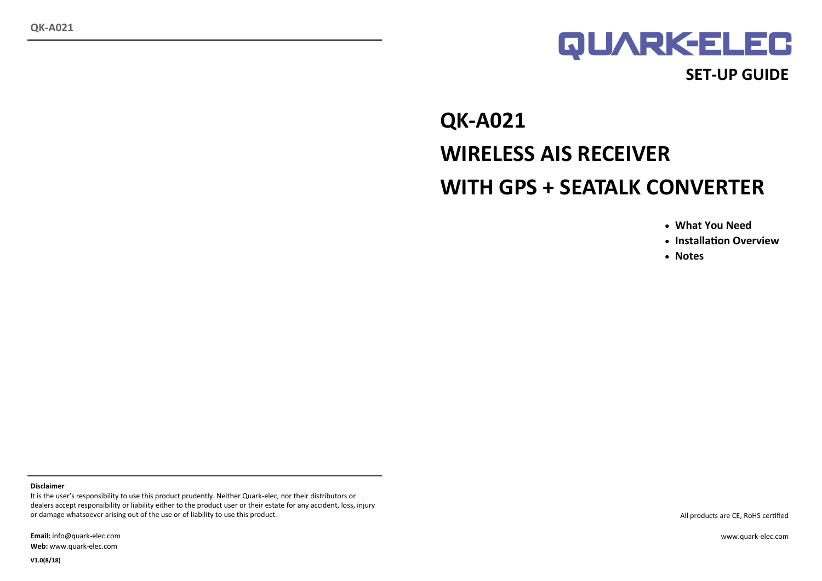

# **QK-A021 WIRELESS AIS RECEIVER WITH GPS + SEATALK CONVERTER**

- **What You Need**
- **Installation Overview**
- **Notes**

#### **Disclaimer**

It is the user's responsibility to use this product prudently. Neither Quark-elec, nor their distributors or dealers accept responsibility or liability either to the product user or their estate for any accident, loss, injury or damage whatsoever arising out of the use or of liability to use this product.

**Email:** info@quark-elec.com **Web:** www.quark-elec.com